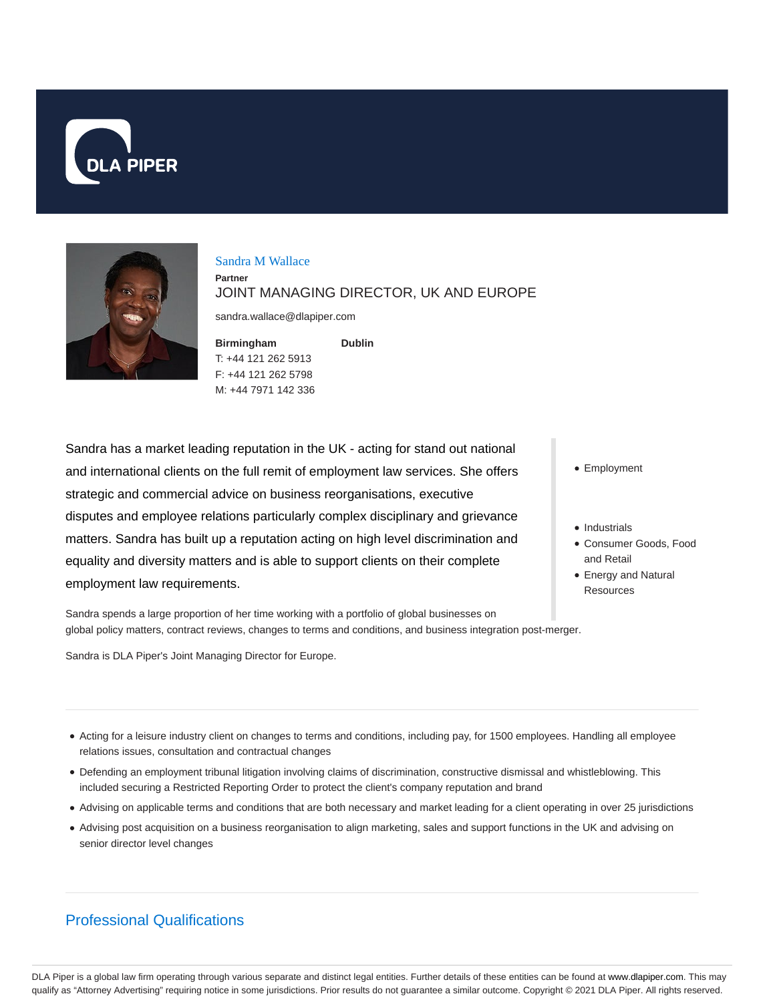



## Sandra M Wallace

**Partner** JOINT MANAGING DIRECTOR, UK AND EUROPE

**Dublin**

sandra.wallace@dlapiper.com

**Birmingham** T: +44 121 262 5913 F: +44 121 262 5798 M: +44 7971 142 336

Sandra has a market leading reputation in the UK - acting for stand out national and international clients on the full remit of employment law services. She offers strategic and commercial advice on business reorganisations, executive disputes and employee relations particularly complex disciplinary and grievance matters. Sandra has built up a reputation acting on high level discrimination and equality and diversity matters and is able to support clients on their complete employment law requirements.

Sandra spends a large proportion of her time working with a portfolio of global businesses on global policy matters, contract reviews, changes to terms and conditions, and business integration post-merger.

Sandra is DLA Piper's Joint Managing Director for Europe.

- Employment
- Industrials
- Consumer Goods, Food and Retail
- Energy and Natural **Resources**

- Acting for a leisure industry client on changes to terms and conditions, including pay, for 1500 employees. Handling all employee relations issues, consultation and contractual changes
- Defending an employment tribunal litigation involving claims of discrimination, constructive dismissal and whistleblowing. This included securing a Restricted Reporting Order to protect the client's company reputation and brand
- Advising on applicable terms and conditions that are both necessary and market leading for a client operating in over 25 jurisdictions
- Advising post acquisition on a business reorganisation to align marketing, sales and support functions in the UK and advising on senior director level changes

# Professional Qualifications

DLA Piper is a global law firm operating through various separate and distinct legal entities. Further details of these entities can be found at www.dlapiper.com. This may qualify as "Attorney Advertising" requiring notice in some jurisdictions. Prior results do not guarantee a similar outcome. Copyright © 2021 DLA Piper. All rights reserved.